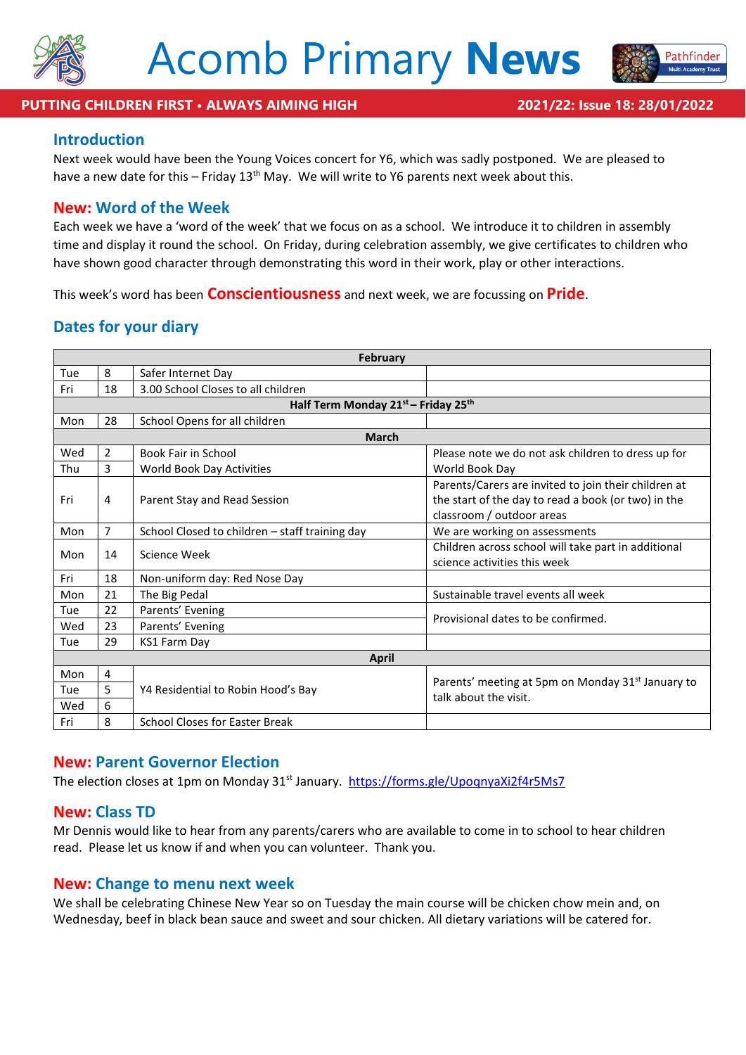



athfinder

#### **Introduction**

Next week would have been the Young Voices concert for Y6, which was sadly postponed. We are pleased to have a new date for this – Friday 13<sup>th</sup> May. We will write to Y6 parents next week about this.

#### **New: Word of the Week**

Each week we have a 'word of the week' that we focus on as a school. We introduce it to children in assembly time and display it round the school. On Friday, during celebration assembly, we give certificates to children who have shown good character through demonstrating this word in their work, play or other interactions.

This week's word has been **Conscientiousness** and next week, we are focussing on **Pride**.

#### **Dates for your diary**

| <b>February</b>                     |                |                                                |                                                                                                                                          |
|-------------------------------------|----------------|------------------------------------------------|------------------------------------------------------------------------------------------------------------------------------------------|
| Tue                                 | 8              | Safer Internet Day                             |                                                                                                                                          |
| Fri                                 | 18             | 3.00 School Closes to all children             |                                                                                                                                          |
| Half Term Monday 21st - Friday 25th |                |                                                |                                                                                                                                          |
| Mon                                 | 28             | School Opens for all children                  |                                                                                                                                          |
| <b>March</b>                        |                |                                                |                                                                                                                                          |
| Wed                                 | $\overline{2}$ | <b>Book Fair in School</b>                     | Please note we do not ask children to dress up for                                                                                       |
| Thu                                 | 3              | World Book Day Activities                      | World Book Day                                                                                                                           |
| Fri                                 | 4              | Parent Stay and Read Session                   | Parents/Carers are invited to join their children at<br>the start of the day to read a book (or two) in the<br>classroom / outdoor areas |
| Mon                                 | $\overline{7}$ | School Closed to children - staff training day | We are working on assessments                                                                                                            |
| Mon                                 | 14             | Science Week                                   | Children across school will take part in additional<br>science activities this week                                                      |
| Fri                                 | 18             | Non-uniform day: Red Nose Day                  |                                                                                                                                          |
| Mon                                 | 21             | The Big Pedal                                  | Sustainable travel events all week                                                                                                       |
| Tue                                 | 22             | Parents' Evening                               | Provisional dates to be confirmed.                                                                                                       |
| Wed                                 | 23             | Parents' Evening                               |                                                                                                                                          |
| Tue                                 | 29             | KS1 Farm Day                                   |                                                                                                                                          |
| April                               |                |                                                |                                                                                                                                          |
| Mon                                 | 4              | Y4 Residential to Robin Hood's Bay             | Parents' meeting at 5pm on Monday 31 <sup>st</sup> January to<br>talk about the visit.                                                   |
| Tue                                 | 5              |                                                |                                                                                                                                          |
| Wed                                 | 6              |                                                |                                                                                                                                          |
| Fri                                 | 8              | <b>School Closes for Easter Break</b>          |                                                                                                                                          |

#### **New: Parent Governor Election**

The election closes at 1pm on Monday 31<sup>st</sup> January. <https://forms.gle/UpoqnyaXi2f4r5Ms7>

#### **New: Class TD**

Mr Dennis would like to hear from any parents/carers who are available to come in to school to hear children read. Please let us know if and when you can volunteer. Thank you.

#### **New: Change to menu next week**

We shall be celebrating Chinese New Year so on Tuesday the main course will be chicken chow mein and, on Wednesday, beef in black bean sauce and sweet and sour chicken. All dietary variations will be catered for.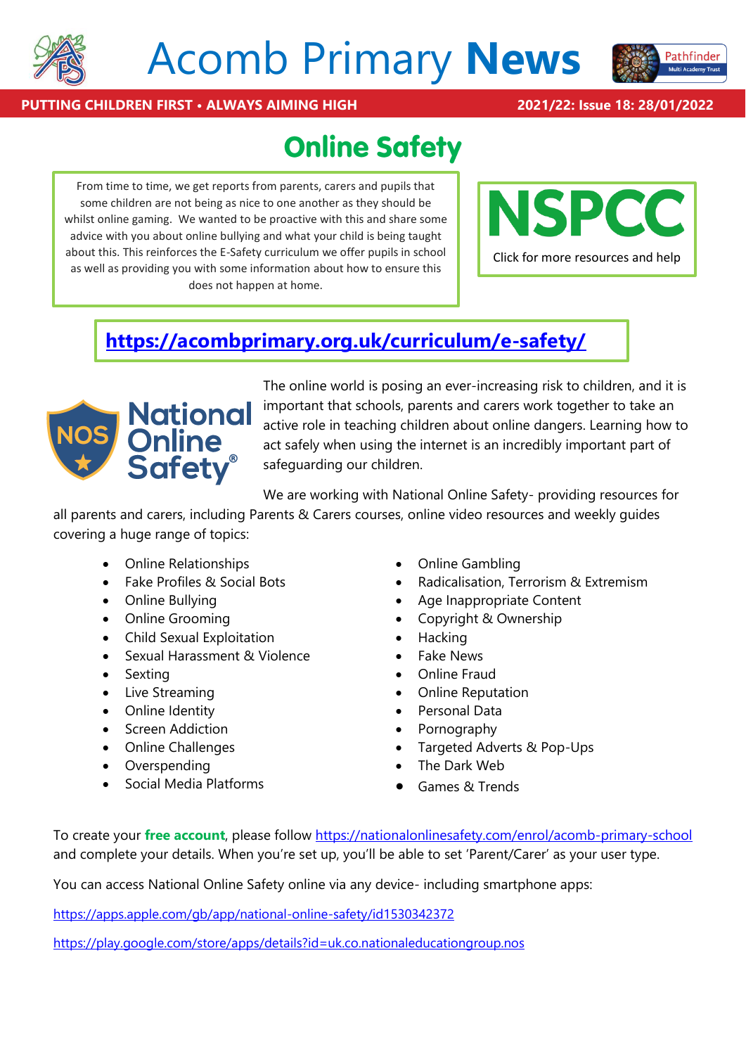

# Acomb Primary **News**



#### **PUTTING CHILDREN FIRST • ALWAYS AIMING HIGH 2021/22: Issue 18: 28/01/2022**

### **Online Safety**

From time to time, we get reports from parents, carers and pupils that some children are not being as nice to one another as they should be whilst online gaming. We wanted to be proactive with this and share some advice with you about online bullying and what your child is being taught about this. This reinforces the E-Safety curriculum we offer pupils in school as well as providing you with some information about how to ensure this does not happen at home.



### **<https://acombprimary.org.uk/curriculum/e-safety/>**



The online world is posing an ever-increasing risk to children, and it is important that schools, parents and carers work together to take an active role in teaching children about online dangers. Learning how to act safely when using the internet is an incredibly important part of safeguarding our children.

We are working with National Online Safety- providing resources for

all parents and carers, including Parents & Carers courses, online video resources and weekly guides covering a huge range of topics:

- Online Relationships
- Fake Profiles & Social Bots
- Online Bullying
- Online Grooming
- Child Sexual Exploitation
- Sexual Harassment & Violence
- Sexting
- Live Streaming
- Online Identity
- Screen Addiction
- Online Challenges
- Overspending
- Social Media Platforms
- Online Gambling
- Radicalisation, Terrorism & Extremism
- Age Inappropriate Content
- Copyright & Ownership
- Hacking
- Fake News
- Online Fraud
- Online Reputation
- Personal Data
- Pornography
- Targeted Adverts & Pop-Ups
- The Dark Web
- Games & Trends

To create your **free account**, please follow [https://nationalonlinesafety.com/enrol/acomb-primary-school]($%7bschoolLink%7d) and complete your details. When you're set up, you'll be able to set 'Parent/Carer' as your user type.

You can access National Online Safety online via any device- including smartphone apps:

<https://apps.apple.com/gb/app/national-online-safety/id1530342372>

<https://play.google.com/store/apps/details?id=uk.co.nationaleducationgroup.nos>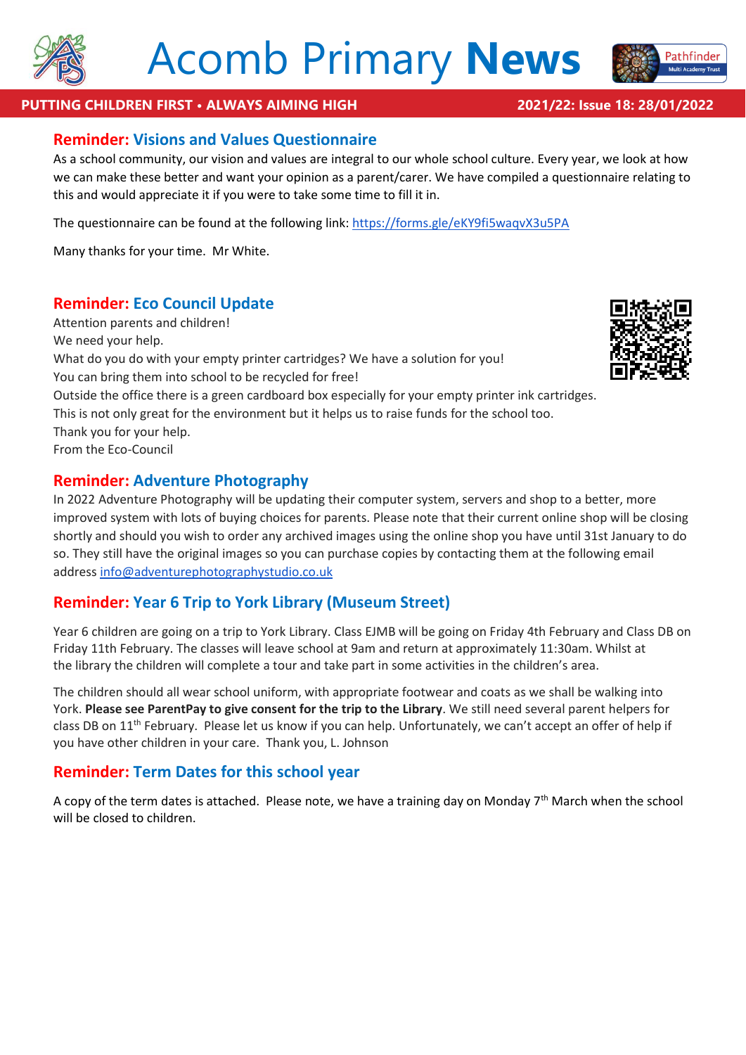



#### **PUTTING CHILDREN FIRST • ALWAYS AIMING HIGH 2021/22: Issue 18: 28/01/2022**

#### **Reminder: Visions and Values Questionnaire**

As a school community, our vision and values are integral to our whole school culture. Every year, we look at how we can make these better and want your opinion as a parent/carer. We have compiled a questionnaire relating to this and would appreciate it if you were to take some time to fill it in.

The questionnaire can be found at the following link: <https://forms.gle/eKY9fi5waqvX3u5PA>

Many thanks for your time. Mr White.

#### **Reminder: Eco Council Update**

Attention parents and children! We need your help. What do you do with your empty printer cartridges? We have a solution for you! You can bring them into school to be recycled for free! Outside the office there is a green cardboard box especially for your empty printer ink cartridges. This is not only great for the environment but it helps us to raise funds for the school too. Thank you for your help. From the Eco-Council

#### **Reminder: Adventure Photography**

In 2022 Adventure Photography will be updating their computer system, servers and shop to a better, more improved system with lots of buying choices for parents. Please note that their current online shop will be closing shortly and should you wish to order any archived images using the online shop you have until 31st January to do so. They still have the original images so you can purchase copies by contacting them at the following email address [info@adventurephotographystudio.co.uk](mailto:info@adventurephotographystudio.co.uk)

#### **Reminder: Year 6 Trip to York Library (Museum Street)**

Year 6 children are going on a trip to York Library. Class EJMB will be going on Friday 4th February and Class DB on Friday 11th February. The classes will leave school at 9am and return at approximately 11:30am. Whilst at the library the children will complete a tour and take part in some activities in the children's area.

The children should all wear school uniform, with appropriate footwear and coats as we shall be walking into York. **Please see ParentPay to give consent for the trip to the Library**. We still need several parent helpers for class DB on 11<sup>th</sup> February. Please let us know if you can help. Unfortunately, we can't accept an offer of help if you have other children in your care. Thank you, L. Johnson

#### **Reminder: Term Dates for this school year**

A copy of the term dates is attached. Please note, we have a training day on Monday  $7<sup>th</sup>$  March when the school will be closed to children.

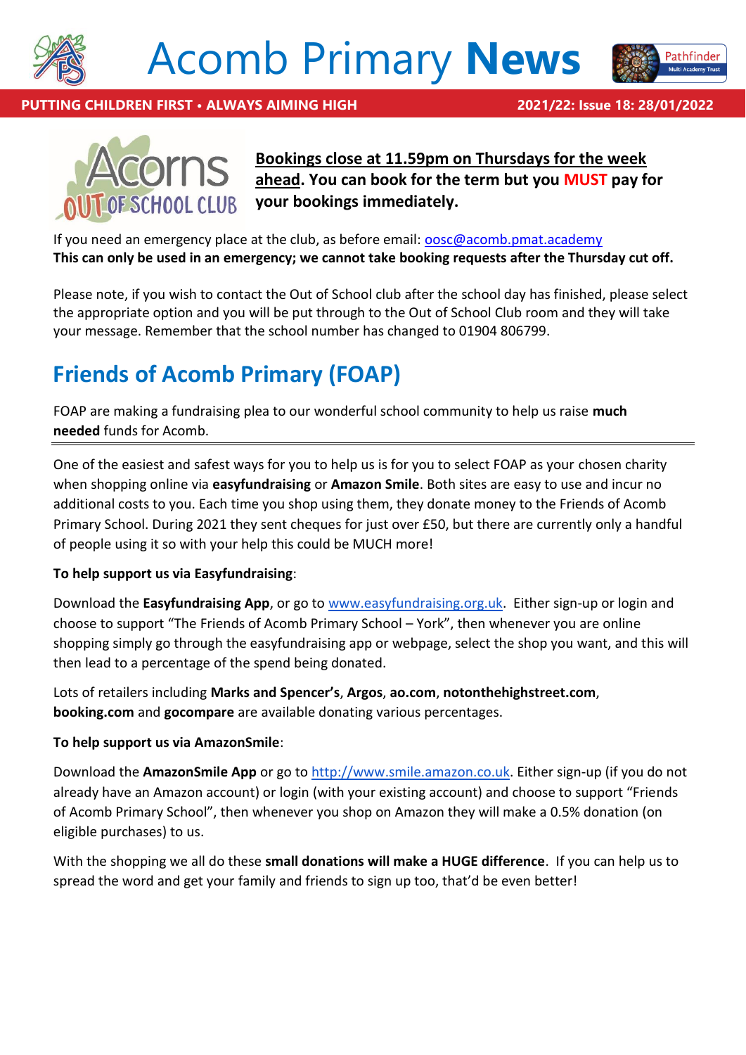

# Acomb Primary **News**



**PUTTING CHILDREN FIRST • ALWAYS AIMING HIGH 2021/22: Issue 18: 28/01/2022**



**Bookings close at 11.59pm on Thursdays for the week ahead. You can book for the term but you MUST pay for your bookings immediately.**

If you need an emergency place at the club, as before email: **oosc@acomb.pmat.academy This can only be used in an emergency; we cannot take booking requests after the Thursday cut off.**

Please note, if you wish to contact the Out of School club after the school day has finished, please select the appropriate option and you will be put through to the Out of School Club room and they will take your message. Remember that the school number has changed to 01904 806799.

### **Friends of Acomb Primary (FOAP)**

FOAP are making a fundraising plea to our wonderful school community to help us raise **much needed** funds for Acomb.

One of the easiest and safest ways for you to help us is for you to select FOAP as your chosen charity when shopping online via **easyfundraising** or **Amazon Smile**. Both sites are easy to use and incur no additional costs to you. Each time you shop using them, they donate money to the Friends of Acomb Primary School. During 2021 they sent cheques for just over £50, but there are currently only a handful of people using it so with your help this could be MUCH more!

#### **To help support us via Easyfundraising**:

Download the **Easyfundraising App**, or go to [www.easyfundraising.org.uk.](http://www.easyfundraising.org.uk/) Either sign-up or login and choose to support "The Friends of Acomb Primary School – York", then whenever you are online shopping simply go through the easyfundraising app or webpage, select the shop you want, and this will then lead to a percentage of the spend being donated.

Lots of retailers including **Marks and Spencer's**, **Argos**, **ao.com**, **notonthehighstreet.com**, **booking.com** and **gocompare** are available donating various percentages.

#### **To help support us via AmazonSmile**:

Download the **AmazonSmile App** or go to [http://www.smile.amazon.co.uk.](http://www.smile.amazon.co.uk/) Either sign-up (if you do not already have an Amazon account) or login (with your existing account) and choose to support "Friends of Acomb Primary School", then whenever you shop on Amazon they will make a 0.5% donation (on eligible purchases) to us.

With the shopping we all do these **small donations will make a HUGE difference**. If you can help us to spread the word and get your family and friends to sign up too, that'd be even better!